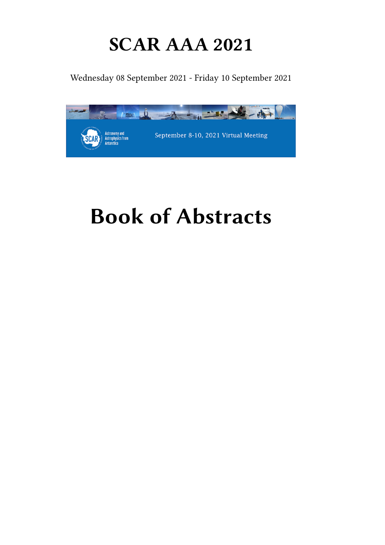# **SCAR AAA 2021**

Wednesday 08 September 2021 - Friday 10 September 2021



# **Book of Abstracts**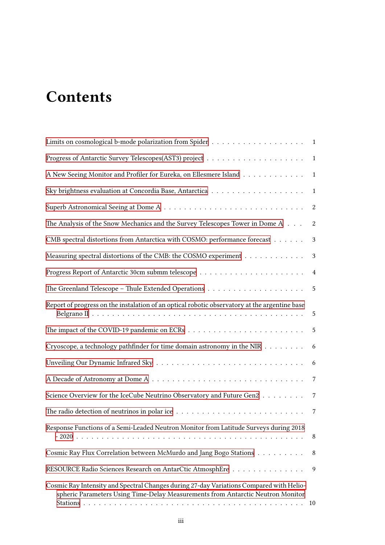# **Contents**

| A New Seeing Monitor and Profiler for Eureka, on Ellesmere Island 1                                                                                                        |                |
|----------------------------------------------------------------------------------------------------------------------------------------------------------------------------|----------------|
|                                                                                                                                                                            | $\mathbf{1}$   |
|                                                                                                                                                                            |                |
| The Analysis of the Snow Mechanics and the Survey Telescopes Tower in Dome A                                                                                               | 2              |
| CMB spectral distortions from Antarctica with COSMO: performance forecast                                                                                                  | $\mathbf{3}$   |
| Measuring spectral distortions of the CMB: the COSMO experiment                                                                                                            | 3              |
|                                                                                                                                                                            | $\overline{4}$ |
|                                                                                                                                                                            |                |
| Report of progress on the instalation of an optical robotic observatory at the argentine base                                                                              | $\overline{5}$ |
|                                                                                                                                                                            | $\overline{5}$ |
| Cryoscope, a technology pathfinder for time domain astronomy in the NIR                                                                                                    | 6              |
|                                                                                                                                                                            | 6              |
|                                                                                                                                                                            | 7              |
| Science Overview for the IceCube Neutrino Observatory and Future Gen2                                                                                                      | $\overline{7}$ |
| The radio detection of neutrinos in polar ice $\ldots \ldots \ldots \ldots \ldots \ldots \ldots \ldots \ldots \ldots$                                                      |                |
| Response Functions of a Semi-Leaded Neutron Monitor from Latitude Surveys during 2018                                                                                      | 8              |
| Cosmic Ray Flux Correlation between McMurdo and Jang Bogo Stations                                                                                                         | 8              |
| RESOURCE Radio Sciences Research on AntarCtic AtmosphEre                                                                                                                   | 9              |
| Cosmic Ray Intensity and Spectral Changes during 27-day Variations Compared with Helio-<br>spheric Parameters Using Time-Delay Measurements from Antarctic Neutron Monitor | -10            |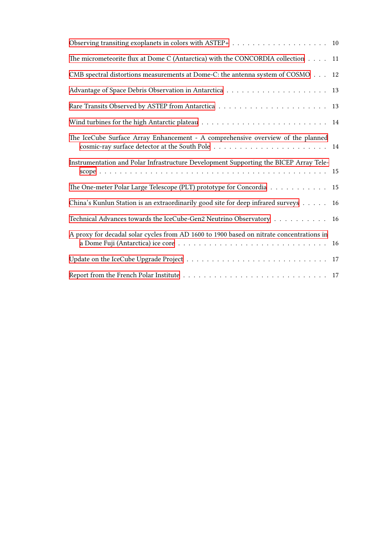| Observing transiting exoplanets in colors with ASTEP+ $\ldots \ldots \ldots \ldots \ldots \ldots \ldots$ |    |
|----------------------------------------------------------------------------------------------------------|----|
| The micrometeorite flux at Dome C (Antarctica) with the CONCORDIA collection 11                          |    |
| CMB spectral distortions measurements at Dome-C: the antenna system of COSMO                             | 12 |
|                                                                                                          |    |
|                                                                                                          |    |
|                                                                                                          |    |
| The IceCube Surface Array Enhancement - A comprehensive overview of the planned                          |    |
| Instrumentation and Polar Infrastructure Development Supporting the BICEP Array Tele-                    |    |
| The One-meter Polar Large Telescope (PLT) prototype for Concordia 15                                     |    |
| China's Kunlun Station is an extraordinarily good site for deep infrared surveys                         | 16 |
| Technical Advances towards the IceCube-Gen2 Neutrino Observatory 16                                      |    |
| A proxy for decadal solar cycles from AD 1600 to 1900 based on nitrate concentrations in                 |    |
|                                                                                                          |    |
|                                                                                                          |    |
|                                                                                                          |    |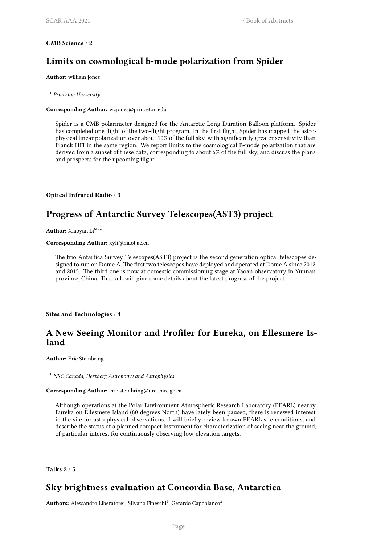#### <span id="page-4-0"></span>**CMB Science** / **2**

# **Limits on cosmological b-mode polarization from Spider**

**Author:** william jones<sup>1</sup>

1 *Princeton University*

#### **Corresponding Author:** wcjones@princeton.edu

Spider is a CMB polarimeter designed for the Antarctic Long Duration Balloon platform. Spider has completed one flight of the two-flight program. In the first flight, Spider has mapped the astrophysical linear polarization over about 10% of the full sky, with significantly greater sensitivity than Planck HFI in the same region. We report limits to the cosmological B-mode polarization that are derived from a subset of these data, corresponding to about 6% of the full sky, and discuss the plans and prospects for the upcoming flight.

<span id="page-4-1"></span>**Optical Infrared Radio** / **3**

# **Progress of Antarctic Survey Telescopes(AST3) project**

**Author:** Xiaoyan Li<sup>None</sup>

**Corresponding Author:** xyli@niaot.ac.cn

The trio Antartica Survey Telescopes(AST3) project is the second generation optical telescopes designed to run on Dome A. The first two telescopes have deployed and operated at Dome A since 2012 and 2015. The third one is now at domestic commissioning stage at Yaoan observatory in Yunnan province, China. This talk will give some details about the latest progress of the project.

#### <span id="page-4-2"></span>**Sites and Technologies** / **4**

# **A New Seeing Monitor and Profiler for Eureka, on Ellesmere Island**

Author: Eric Steinbring<sup>1</sup>

<sup>1</sup> *NRC Canada, Herzberg Astronomy and Astrophysics*

#### **Corresponding Author:** eric.steinbring@nrc-cnrc.gc.ca

Although operations at the Polar Environment Atmospheric Research Laboratory (PEARL) nearby Eureka on Ellesmere Island (80 degrees North) have lately been paused, there is renewed interest in the site for astrophysical observations. I will briefly review known PEARL site conditions, and describe the status of a planned compact instrument for characterization of seeing near the ground, of particular interest for continuously observing low-elevation targets.

<span id="page-4-3"></span>**Talks 2** / **5**

## **Sky brightness evaluation at Concordia Base, Antarctica**

Authors: Alessandro Liberatore<sup>1</sup>; Silvano Fineschi<sup>2</sup>; Gerardo Capobianco<sup>2</sup>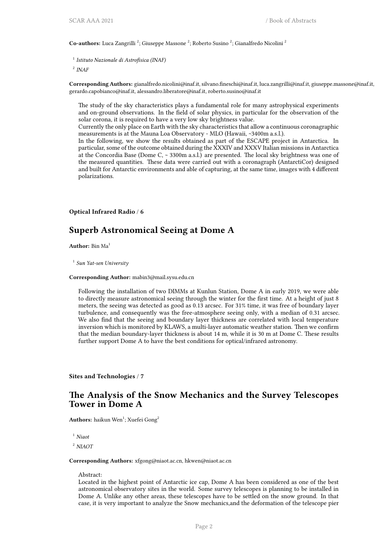Co-authors: Luca Zangrilli<sup>2</sup>; Giuseppe Massone<sup>2</sup>; Roberto Susino<sup>2</sup>; Gianalfredo Nicolini<sup>2</sup>

1 *Istituto Nazionale di Astrofisica (INAF)*

2 *INAF*

**Corresponding Authors:** gianalfredo.nicolini@inaf.it, silvano.fineschi@inaf.it, luca.zangrilli@inaf.it, giuseppe.massone@inaf.it, gerardo.capobianco@inaf.it, alessandro.liberatore@inaf.it, roberto.susino@inaf.it

The study of the sky characteristics plays a fundamental role for many astrophysical experiments and on-ground observations. In the field of solar physics, in particular for the observation of the solar corona, it is required to have a very low sky brightness value.

Currently the only place on Earth with the sky characteristics that allow a continuous coronagraphic measurements is at the Mauna Loa Observatory - MLO (Hawaii, ~3400m a.s.l.).

In the following, we show the results obtained as part of the ESCAPE project in Antarctica. In particular, some of the outcome obtained during the XXXIV and XXXV Italian missions in Antarctica at the Concordia Base (Dome C, ~ 3300m a.s.l.) are presented. The local sky brightness was one of the measured quantities. These data were carried out with a coronagraph (AntarctiCor) designed and built for Antarctic environments and able of capturing, at the same time, images with 4 different polarizations.

<span id="page-5-0"></span>**Optical Infrared Radio** / **6**

#### **Superb Astronomical Seeing at Dome A**

**Author:** Bin Ma<sup>1</sup>

1 *Sun Yat-sen University*

#### **Corresponding Author:** mabin3@mail.sysu.edu.cn

Following the installation of two DIMMs at Kunlun Station, Dome A in early 2019, we were able to directly measure astronomical seeing through the winter for the first time. At a height of just 8 meters, the seeing was detected as good as 0.13 arcsec. For 31% time, it was free of boundary layer turbulence, and consequently was the free-atmosphere seeing only, with a median of 0.31 arcsec. We also find that the seeing and boundary layer thickness are correlated with local temperature inversion which is monitored by KLAWS, a multi-layer automatic weather station. Then we confirm that the median boundary-layer thickness is about 14 m, while it is 30 m at Dome C. These results further support Dome A to have the best conditions for optical/infrared astronomy.

<span id="page-5-1"></span>**Sites and Technologies** / **7**

#### **The Analysis of the Snow Mechanics and the Survey Telescopes Tower in Dome A**

 $\mathbf{Authors:} \mathbf{ haikun} \ \text{Wen}^1; \mathbf{Xuefei} \ \mathbf{Gong}^2$ 

<sup>1</sup> *Niaot*

<sup>2</sup> *NIAOT*

#### **Corresponding Authors:** xfgong@niaot.ac.cn, hkwen@niaot.ac.cn

Abstract:

Located in the highest point of Antarctic ice cap, Dome A has been considered as one of the best astronomical observatory sites in the world. Some survey telescopes is planning to be installed in Dome A. Unlike any other areas, these telescopes have to be settled on the snow ground. In that case, it is very important to analyze the Snow mechanics,and the deformation of the telescope pier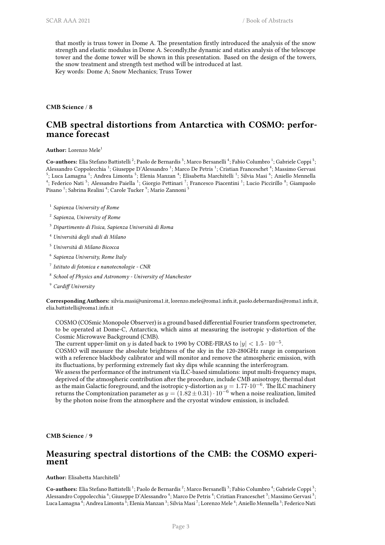that mostly is truss tower in Dome A. The presentation firstly introduced the analysis of the snow strength and elastic modulus in Dome A. Secondly,the dynamic and statics analysis of the telescope tower and the dome tower will be shown in this presentation. Based on the design of the towers, the snow treatment and strength test method will be introduced at last. Key words: Dome A; Snow Mechanics; Truss Tower

<span id="page-6-0"></span>**CMB Science** / **8**

# **CMB spectral distortions from Antarctica with COSMO: performance forecast**

**Author:** Lorenzo Mele<sup>1</sup>

Co-authors: Elia Stefano Battistelli<sup>2</sup>; Paolo de Bernardis<sup>3</sup>; Marco Bersanelli<sup>4</sup>; Fabio Columbro<sup>1</sup>; Gabriele Coppi<sup>5</sup>; Alessandro Coppolecchia <sup>1</sup>; Giuseppe D'Alessandro <sup>1</sup>; Marco De Petris <sup>1</sup>; Cristian Franceschet <sup>4</sup>; Massimo Gervasi  $^5;$  Luca Lamagna  $^1;$  Andrea Limonta  $^5;$  Elenia Manzan  $^4;$  Elisabetta Marchitelli  $^1;$  Silvia Masi  $^6;$  Aniello Mennella <sup>4</sup>; Federico Nati<sup>5</sup>; Alessandro Paiella<sup>1</sup>; Giorgio Pettinari<sup>7</sup>; Francesco Piacentini<sup>1</sup>; Lucio Piccirillo<sup>8</sup>; Giampaolo Pisano <sup>1</sup>; Sabrina Realini <sup>4</sup>; Carole Tucker <sup>9</sup>; Mario Zannoni <sup>5</sup>

1 *Sapienza University of Rome*

2 *Sapienza, University of Rome*

- <sup>3</sup> *Dipartimento di Fisica, Sapienza Università di Roma*
- <sup>4</sup> *Università degli studi di Milano*
- <sup>5</sup> *Università di Milano Bicocca*
- 6 *Sapienza University, Rome Italy*
- 7 *Istituto di fotonica e nanotecnologie CNR*
- 8 *School of Physics and Astronomy University of Manchester*
- <sup>9</sup> *Cardiff University*

**Corresponding Authors:** silvia.masi@uniroma1.it, lorenzo.mele@roma1.infn.it, paolo.debernardis@roma1.infn.it, elia.battistelli@roma1.infn.it

COSMO (COSmic Monopole Observer) is a ground based differential Fourier transform spectrometer, to be operated at Dome-C, Antarctica, which aims at measuring the isotropic y-distortion of the Cosmic Microwave Background (CMB).

The current upper-limit on *y* is dated back to 1990 by COBE-FIRAS to  $|y| < 1.5 \cdot 10^{-5}$ .

COSMO will measure the absolute brightness of the sky in the 120-280GHz range in comparison with a reference blackbody calibrator and will monitor and remove the atmospheric emission, with its fluctuations, by performing extremely fast sky dips while scanning the interferogram.

We assess the performance of the instrument via ILC-based simulations: input multi-frequency maps, deprived of the atmospheric contribution after the procedure, include CMB anisotropy, thermal dust as the main Galactic foreground, and the isotropic y-distortion as  $y = 1.77 \cdot 10^{-6}$ . The ILC machinery returns the Comptonization parameter as  $y = (1.82 \pm 0.31) \cdot 10^{-6}$  when a noise realization, limited by the photon noise from the atmosphere and the cryostat window emission, is included.

<span id="page-6-1"></span>**CMB Science** / **9**

#### **Measuring spectral distortions of the CMB: the COSMO experiment**

**Author:** Elisabetta Marchitelli<sup>1</sup>

Co-authors: Elia Stefano Battistelli<sup>1</sup>; Paolo de Bernardis<sup>2</sup>; Marco Bersanelli<sup>3</sup>; Fabio Columbro<sup>4</sup>; Gabriele Coppi<sup>5</sup>; Alessandro Coppolecchia <sup>6</sup>; Giuseppe D'Alessandro <sup>4</sup>; Marco De Petris <sup>4</sup>; Cristian Franceschet <sup>3</sup>; Massimo Gervasi <sup>5</sup>; Luca Lamagna  $^4$ ; Andrea Limonta  $^5$ ; Elenia Manzan  $^3$ ; Silvia Masi  $^7$ ; Lorenzo Mele  $^4$ ; Aniello Mennella  $^3$ ; Federico Nati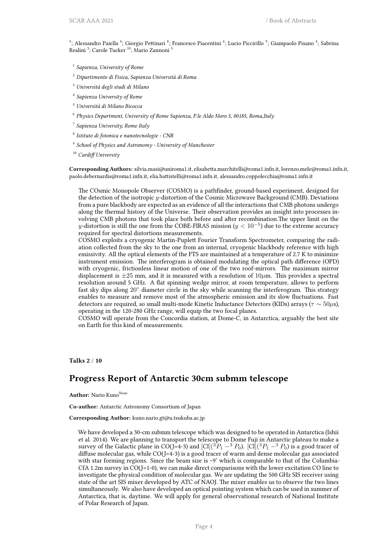<sup>5</sup>; Alessandro Paiella <sup>4</sup>; Giorgio Pettinari <sup>8</sup>; Francesco Piacentini <sup>4</sup>; Lucio Piccirillo <sup>9</sup>; Giampaolo Pisano <sup>4</sup>; Sabrina Realini <sup>3</sup>; Carole Tucker <sup>10</sup>; Mario Zannoni <sup>5</sup>

- 1 *Sapienza, University of Rome*
- <sup>2</sup> *Dipartimento di Fisica, Sapienza Università di Roma*
- <sup>3</sup> *Università degli studi di Milano*
- 4 *Sapienza University of Rome*
- <sup>5</sup> *Università di Milano Bicocca*
- 6 *Physics Department, University of Rome Sapienza, P.le Aldo Moro 5, 00185, Roma,Italy*
- 7 *Sapienza University, Rome Italy*
- 8 *Istituto di fotonica e nanotecnologie CNR*
- 9 *School of Physics and Astronomy University of Manchester*

<sup>10</sup> *Cardiff University*

**Corresponding Authors:** silvia.masi@uniroma1.it, elisabetta.marchitelli@roma1.infn.it, lorenzo.mele@roma1.infn.it, paolo.debernardis@roma1.infn.it, elia.battistelli@roma1.infn.it, alessandro.coppolecchia@roma1.infn.it

The COsmic Monopole Observer (COSMO) is a pathfinder, ground-based experiment, designed for the detection of the isotropic *y*-distortion of the Cosmic Microwave Background (CMB). Deviations from a pure blackbody are expected as an evidence of all the interactions that CMB photons undergo along the thermal history of the Universe. Their observation provides an insight into processes involving CMB photons that took place both before and after recombination.The upper limit on the *y*-distortion is still the one from the COBE-FIRAS mission (*y <* 10*−*<sup>5</sup> ) due to the extreme accuracy required for spectral distortions measurements.

COSMO exploits a cryogenic Martin-Puplett Fourier Transform Spectrometer, comparing the radiation collected from the sky to the one from an internal, cryogenic blackbody reference with high emissivity. All the optical elements of the FTS are maintained at a temperature of 2.7 K to minimize instrument emission. The interferogram is obtained modulating the optical path difference (OPD) with cryogenic, frictionless linear motion of one of the two roof-mirrors. The maximum mirror displacement is  $\pm 25$  mm, and it is measured with a resolution of  $10 \mu$ m. This provides a spectral resolution around 5 GHz. A flat spinning wedge mirror, at room temperature, allows to perform fast sky dips along 20*◦* diameter circle in the sky while scanning the interferogram. This strategy enables to measure and remove most of the atmospheric emission and its slow fluctuations. Fast detectors are required, so small multi-mode Kinetic Inductance Detectors (KIDs) arrays (*τ ∼* 50*µ*s), operating in the 120-280 GHz range, will equip the two focal planes.

COSMO will operate from the Concordia station, at Dome-C, in Antarctica, arguably the best site on Earth for this kind of measurements.

#### <span id="page-7-0"></span>**Talks 2** / **10**

#### **Progress Report of Antarctic 30cm submm telescope**

**Author:** Nario Kuno<sup>None</sup>

**Co-author:** Antarctic Astronomy Consortium of Japan

**Corresponding Author:** kuno.nario.gt@u.tsukuba.ac.jp

We have developed a 30-cm submm telescope which was designed to be operated in Antarctica (Ishii et al. 2014). We are planning to transport the telescope to Dome Fuji in Antarctic plateau to make a survey of the Galactic plane in CO(J=4-3) and  $|CI|({}^{3}P_{1} - {}^{3}P_{0})$ .  $|CI|({}^{3}P_{1} - {}^{3}P_{0})$  is a good tracer of diffuse molecular gas, while  $CO(J=4-3)$  is a good tracer of warm and dense molecular gas associated with star forming regions. Since the beam size is ~9' which is comparable to that of the Columbia-CfA 1.2m survey in CO(J=1-0), we can make direct comparisons with the lower excitation CO line to investigate the physical condition of molecular gas. We are updating the 500 GHz SIS receiver using state of the art SIS mixer developed by ATC of NAOJ. The mixer enables us to observe the two lines simultaneously. We also have developed an optical pointing system which can be used in summer of Antarctica, that is, daytime. We will apply for general observational research of National Institute of Polar Research of Japan.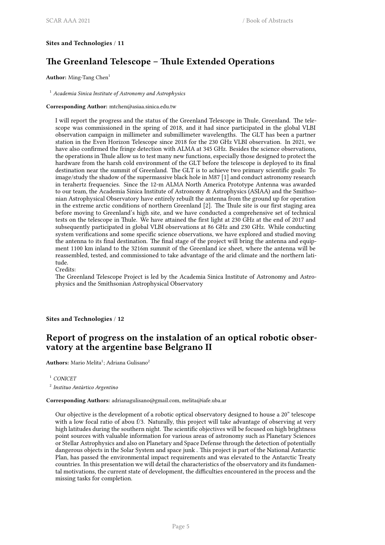#### <span id="page-8-0"></span>**Sites and Technologies** / **11**

# **The Greenland Telescope – Thule Extended Operations**

**Author:** Ming-Tang Chen<sup>1</sup>

<sup>1</sup> *Academia Sinica Institute of Astronomy and Astrophysics*

**Corresponding Author:** mtchen@asiaa.sinica.edu.tw

I will report the progress and the status of the Greenland Telescope in Thule, Greenland. The telescope was commissioned in the spring of 2018, and it had since participated in the global VLBI observation campaign in millimeter and submillimeter wavelengths. The GLT has been a partner station in the Even Horizon Telescope since 2018 for the 230 GHz VLBI observation. In 2021, we have also confirmed the fringe detection with ALMA at 345 GHz. Besides the science observations, the operations in Thule allow us to test many new functions, especially those designed to protect the hardware from the harsh cold environment of the GLT before the telescope is deployed to its final destination near the summit of Greenland. The GLT is to achieve two primary scientific goals: To image/study the shadow of the supermassive black hole in M87 [1] and conduct astronomy research in terahertz frequencies. Since the 12-m ALMA North America Prototype Antenna was awarded to our team, the Academia Sinica Institute of Astronomy & Astrophysics (ASIAA) and the Smithsonian Astrophysical Observatory have entirely rebuilt the antenna from the ground up for operation in the extreme arctic conditions of northern Greenland [2]. The Thule site is our first staging area before moving to Greenland's high site, and we have conducted a comprehensive set of technical tests on the telescope in Thule. We have attained the first light at 230 GHz at the end of 2017 and subsequently participated in global VLBI observations at 86 GHz and 230 GHz. While conducting system verifications and some specific science observations, we have explored and studied moving the antenna to its final destination. The final stage of the project will bring the antenna and equipment 1100 km inland to the 3216m summit of the Greenland ice sheet, where the antenna will be reassembled, tested, and commissioned to take advantage of the arid climate and the northern latitude.

Credits:

The Greenland Telescope Project is led by the Academia Sinica Institute of Astronomy and Astrophysics and the Smithsonian Astrophysical Observatory

<span id="page-8-1"></span>**Sites and Technologies** / **12**

# **Report of progress on the instalation of an optical robotic observatory at the argentine base Belgrano II**

Authors: Mario Melita<sup>1</sup>; Adriana Gulisano<sup>2</sup>

<sup>1</sup> *CONICET*

2 *Instituo Antártico Argentino*

#### **Corresponding Authors:** adrianagulisano@gmail.com, melita@iafe.uba.ar

<span id="page-8-2"></span>Our objective is the development of a robotic optical observatory designed to house a 20" telescope with a low focal ratio of abou f/3. Naturally, this project will take advantage of observing at very high latitudes during the southern night. The scientific objectives will be focused on high brightness point sources with valuable information for various areas of astronomy such as Planetary Sciences or Stellar Astrophysics and also on Planetary and Space Defense through the detection of potentially dangerous objects in the Solar System and space junk . This project is part of the National Antarctic Plan, has passed the environmental impact requirements and was elevated to the Antarctic Treaty countries. In this presentation we will detail the characteristics of the observatory and its fundamental motivations, the current state of development, the difficulties encountered in the process and the missing tasks for completion.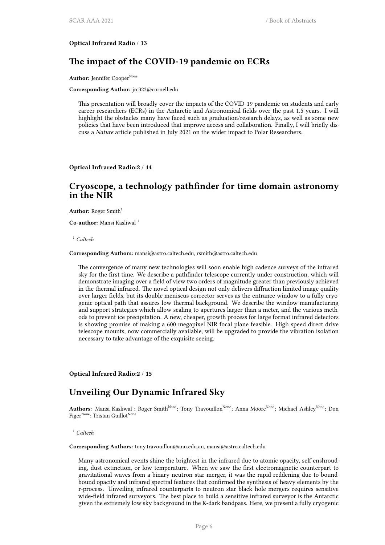**Optical Infrared Radio** / **13**

## **The impact of the COVID-19 pandemic on ECRs**

Author: Jennifer Cooper<sup>None</sup>

**Corresponding Author:** jrc323@cornell.edu

This presentation will broadly cover the impacts of the COVID-19 pandemic on students and early career researchers (ECRs) in the Antarctic and Astronomical fields over the past 1.5 years. I will highlight the obstacles many have faced such as graduation/research delays, as well as some new policies that have been introduced that improve access and collaboration. Finally, I will briefly discuss a *Nature* article published in July 2021 on the wider impact to Polar Researchers.

<span id="page-9-0"></span>**Optical Infrared Radio:2** / **14**

### **Cryoscope, a technology pathfinder for time domain astronomy in the NIR**

**Author:** Roger Smith<sup>1</sup>

**Co-author:** Mansi Kasliwal <sup>1</sup>

<sup>1</sup> *Caltech*

**Corresponding Authors:** mansi@astro.caltech.edu, rsmith@astro.caltech.edu

The convergence of many new technologies will soon enable high cadence surveys of the infrared sky for the first time. We describe a pathfinder telescope currently under construction, which will demonstrate imaging over a field of view two orders of magnitude greater than previously achieved in the thermal infrared. The novel optical design not only delivers diffraction limited image quality over larger fields, but its double meniscus corrector serves as the entrance window to a fully cryogenic optical path that assures low thermal background. We describe the window manufacturing and support strategies which allow scaling to apertures larger than a meter, and the various methods to prevent ice precipitation. A new, cheaper, growth process for large format infrared detectors is showing promise of making a 600 megapixel NIR focal plane feasible. High speed direct drive telescope mounts, now commercially available, will be upgraded to provide the vibration isolation necessary to take advantage of the exquisite seeing.

<span id="page-9-1"></span>**Optical Infrared Radio:2** / **15**

#### **Unveiling Our Dynamic Infrared Sky**

 $\bf{Authors: }$  Mansi Kasliwal<sup>1</sup>; Roger Smith<sup>None</sup>; Tony Travouillon<sup>None</sup>; Anna Moore<sup>None</sup>; Michael Ashley<sup>None</sup>; Don Figer<sup>None</sup>; Tristan Guillot<sup>None</sup>

<sup>1</sup> *Caltech*

**Corresponding Authors:** tony.travouillon@anu.edu.au, mansi@astro.caltech.edu

Many astronomical events shine the brightest in the infrared due to atomic opacity, self enshrouding, dust extinction, or low temperature. When we saw the first electromagnetic counterpart to gravitational waves from a binary neutron star merger, it was the rapid reddening due to boundbound opacity and infrared spectral features that confirmed the synthesis of heavy elements by the r-process. Unveiling infrared counterparts to neutron star black hole mergers requires sensitive wide-field infrared surveyors. The best place to build a sensitive infrared surveyor is the Antarctic given the extremely low sky background in the K-dark bandpass. Here, we present a fully cryogenic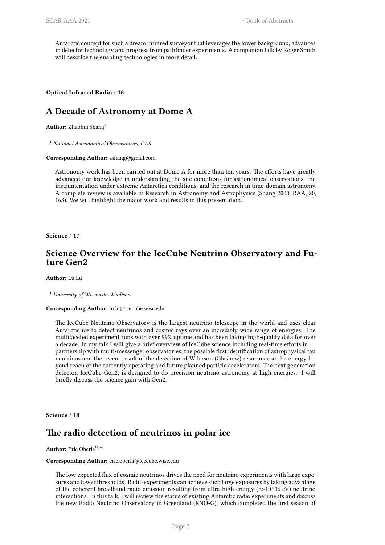Antarctic concept for such a dream infrared surveyor that leverages the lower background, advances in detector technology and progress from pathfinder experiments. A companion talk by Roger Smith will describe the enabling technologies in more detail.

#### <span id="page-10-0"></span>**Optical Infrared Radio** / **16**

# **A Decade of Astronomy at Dome A**

**Author:** Zhaohui Shang<sup>1</sup>

<sup>1</sup> *National Astronomical Observatories, CAS*

**Corresponding Author:** zshang@gmail.com

Astronomy work has been carried out at Dome A for more than ten years. The efforts have greatly advanced our knowledge in understanding the site conditions for astronomical observations, the instrumentation under extreme Antarctica conditions, and the research in time-domain astronomy. A complete review is available in Research in Astronomy and Astrophysics (Shang 2020, RAA, 20, 168). We will highlight the major work and results in this presentation.

<span id="page-10-1"></span>**Science** / **17**

#### **Science Overview for the IceCube Neutrino Observatory and Future Gen2**

Author: Lu Lu<sup>1</sup>

<sup>1</sup> *University of Wisconsin–Madison*

**Corresponding Author:** lu.lu@icecube.wisc.edu

The IceCube Neutrino Observatory is the largest neutrino telescope in the world and uses clear Antarctic ice to detect neutrinos and cosmic rays over an incredibly wide range of energies. The multifaceted experiment runs with over 99% uptime and has been taking high-quality data for over a decade. In my talk I will give a brief overview of IceCube science including real-time efforts in partnership with multi-messenger observatories, the possible first identification of astrophysical tau neutrinos and the recent result of the detection of W boson (Glashow) resonance at the energy beyond reach of the currently operating and future planned particle accelerators. The next generation detector, IceCube Gen2, is designed to do precision neutrino astronomy at high energies. I will briefly discuss the science gain with Gen2.

<span id="page-10-2"></span>**Science** / **18**

# **The radio detection of neutrinos in polar ice**

#### **Author:** Eric Oberla<sup>None</sup>

#### **Corresponding Author:** eric.oberla@icecube.wisc.edu

The low expected flux of cosmic neutrinos drives the need for neutrino experiments with large exposures and lower thresholds. Radio experiments can achieve such large exposures by taking advantage of the coherent broadband radio emission resulting from ultra-high-energy (E>10^16 eV) neutrino interactions. In this talk, I will review the status of existing Antarctic radio experiments and discuss the new Radio Neutrino Observatory in Greenland (RNO-G), which completed the first season of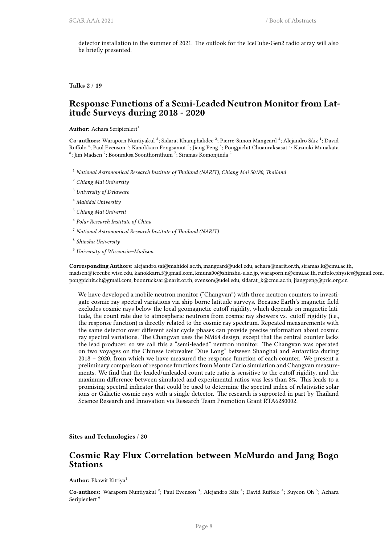detector installation in the summer of 2021. The outlook for the IceCube-Gen2 radio array will also be briefly presented.

<span id="page-11-0"></span>**Talks 2** / **19**

### **Response Functions of a Semi-Leaded Neutron Monitor from Latitude Surveys during 2018 - 2020**

Author: Achara Seripienlert<sup>1</sup>

Co-authors: Waraporn Nuntiyakul<sup>2</sup>; Sidarat Khamphakdee<sup>2</sup>; Pierre-Simon Mangeard<sup>3</sup>; Alejandro Sáiz<sup>4</sup>; David Ruffolo  $^4$ ; Paul Evenson  $^3$ ; Kanokkarn Fongsamut  $^5$ ; Jiang Peng  $^6$ ; Pongpichit Chuanraksasat  $^7$ ; Kazuoki Munakata  $^8$ ; Jim Madsen $^9$ ; Boonraksa Soonthornthum  $^7$ ; Siramas Komonjinda  $^2$ 

- <sup>1</sup> *National Astronomical Research Institute of Thailand (NARIT), Chiang Mai 50180, Thailand*
- <sup>2</sup> *Chiang Mai University*
- <sup>3</sup> *University of Delaware*
- <sup>4</sup> *Mahidol University*
- <sup>5</sup> *Chiang Mai Universit*
- 6 *Polar Research Institute of China*
- <sup>7</sup> *National Astronomical Research Institute of Thailand (NARIT)*
- 8 *Shinshu University*
- <sup>9</sup> *University of Wisconsin–Madison*

**Corresponding Authors:** alejandro.sai@mahidol.ac.th, mangeard@udel.edu, achara@narit.or.th, siramas.k@cmu.ac.th, madsen@icecube.wisc.edu, kanokkarn.f@gmail.com, kmuna00@shinshu-u.ac.jp, waraporn.n@cmu.ac.th, ruffolo.physics@gmail.com, pongpichit.ch@gmail.com, boonrucksar@narit.or.th, evenson@udel.edu, sidarat\_k@cmu.ac.th, jiangpeng@pric.org.cn

We have developed a mobile neutron monitor ("Changvan") with three neutron counters to investigate cosmic ray spectral variations via ship-borne latitude surveys. Because Earth's magnetic field excludes cosmic rays below the local geomagnetic cutoff rigidity, which depends on magnetic latitude, the count rate due to atmospheric neutrons from cosmic ray showers vs. cutoff rigidity (i.e., the response function) is directly related to the cosmic ray spectrum. Repeated measurements with the same detector over different solar cycle phases can provide precise information about cosmic ray spectral variations. The Changvan uses the NM64 design, except that the central counter lacks the lead producer, so we call this a "semi-leaded" neutron monitor. The Changvan was operated on two voyages on the Chinese icebreaker "Xue Long" between Shanghai and Antarctica during 2018 – 2020, from which we have measured the response function of each counter. We present a preliminary comparison of response functions from Monte Carlo simulation and Changvan measurements. We find that the leaded/unleaded count rate ratio is sensitive to the cutoff rigidity, and the maximum difference between simulated and experimental ratios was less than 8%. This leads to a promising spectral indicator that could be used to determine the spectral index of relativistic solar ions or Galactic cosmic rays with a single detector. The research is supported in part by Thailand Science Research and Innovation via Research Team Promotion Grant RTA6280002.

<span id="page-11-1"></span>**Sites and Technologies** / **20**

#### **Cosmic Ray Flux Correlation between McMurdo and Jang Bogo Stations**

**Author:** Ekawit Kittiya<sup>1</sup>

Co-authors: Waraporn Nuntiyakul<sup>2</sup>; Paul Evenson<sup>3</sup>; Alejandro Sáiz<sup>4</sup>; David Ruffolo<sup>4</sup>; Suyeon Oh<sup>5</sup>; Achara Seripienlert<sup>6</sup>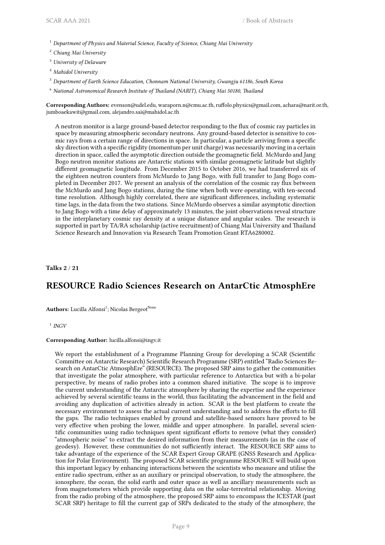<sup>1</sup> *Department of Physics and Material Science, Faculty of Science, Chiang Mai University*

- <sup>2</sup> *Chiang Mai University*
- <sup>3</sup> *University of Delaware*
- <sup>4</sup> *Mahidol University*
- <sup>5</sup> *Department of Earth Science Education, Chonnam National University, Gwangju 61186, South Korea*
- <sup>6</sup> *National Astronomical Research Institute of Thailand (NARIT), Chiang Mai 50180, Thailand*

**Corresponding Authors:** evenson@udel.edu, waraporn.n@cmu.ac.th, ruffolo.physics@gmail.com, achara@narit.or.th, jumboaekawit@gmail.com, alejandro.sai@mahidol.ac.th

A neutron monitor is a large ground-based detector responding to the flux of cosmic ray particles in space by measuring atmospheric secondary neutrons. Any ground-based detector is sensitive to cosmic rays from a certain range of directions in space. In particular, a particle arriving from a specific sky direction with a specific rigidity (momentum per unit charge) was necessarily moving in a certain direction in space, called the asymptotic direction outside the geomagnetic field. McMurdo and Jang Bogo neutron monitor stations are Antarctic stations with similar geomagnetic latitude but slightly different geomagnetic longitude. From December 2015 to October 2016, we had transferred six of the eighteen neutron counters from McMurdo to Jang Bogo, with full transfer to Jang Bogo completed in December 2017. We present an analysis of the correlation of the cosmic ray flux between the McMurdo and Jang Bogo stations, during the time when both were operating, with ten-second time resolution. Although highly correlated, there are significant differences, including systematic time lags, in the data from the two stations. Since McMurdo observes a similar asymptotic direction to Jang Bogo with a time delay of approximately 13 minutes, the joint observations reveal structure in the interplanetary cosmic ray density at a unique distance and angular scales. The research is supported in part by TA/RA scholarship (active recruitment) of Chiang Mai University and Thailand Science Research and Innovation via Research Team Promotion Grant RTA6280002.

<span id="page-12-0"></span>**Talks 2** / **21**

## **RESOURCE Radio Sciences Research on AntarCtic AtmosphEre**

Authors: Lucilla Alfonsi<sup>1</sup>; Nicolas Bergeot<sup>None</sup>

<sup>1</sup> *INGV* 

#### **Corresponding Author:** lucilla.alfonsi@ingv.it

We report the establishment of a Programme Planning Group for developing a SCAR (Scientific Committee on Antarctic Research) Scientific Research Programme (SRP) entitled "Radio Sciences Research on AntarCtic AtmosphEre" (RESOURCE). The proposed SRP aims to gather the communities that investigate the polar atmosphere, with particular reference to Antarctica but with a bi-polar perspective, by means of radio probes into a common shared initiative. The scope is to improve the current understanding of the Antarctic atmosphere by sharing the expertise and the experience achieved by several scientific teams in the world, thus facilitating the advancement in the field and avoiding any duplication of activities already in action. SCAR is the best platform to create the necessary environment to assess the actual current understanding and to address the efforts to fill the gaps. The radio techniques enabled by ground and satellite-based sensors have proved to be very effective when probing the lower, middle and upper atmosphere. In parallel, several scientific communities using radio techniques spent significant efforts to remove (what they consider) "atmospheric noise" to extract the desired information from their measurements (as in the case of geodesy). However, these communities do not sufficiently interact. The RESOURCE SRP aims to take advantage of the experience of the SCAR Expert Group GRAPE (GNSS Research and Application for Polar Environment). The proposed SCAR scientific programme RESOURCE will build upon this important legacy by enhancing interactions between the scientists who measure and utilise the entire radio spectrum, either as an auxiliary or principal observation, to study the atmosphere, the ionosphere, the ocean, the solid earth and outer space as well as ancillary measurements such as from magnetometers which provide supporting data on the solar-terrestrial relationship. Moving from the radio probing of the atmosphere, the proposed SRP aims to encompass the ICESTAR (past SCAR SRP) heritage to fill the current gap of SRPs dedicated to the study of the atmosphere, the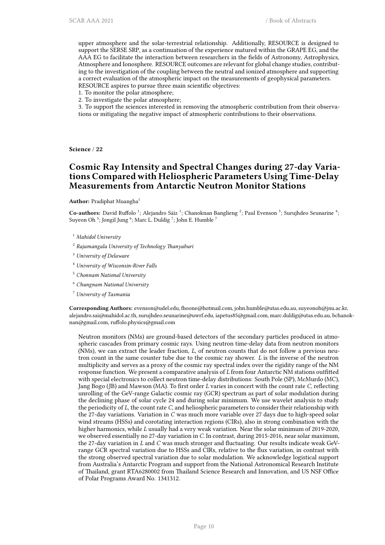upper atmosphere and the solar-terrestrial relationship. Additionally, RESOURCE is designed to support the SERSE SRP, as a continuation of the experience matured within the GRAPE EG, and the AAA EG to facilitate the interaction between researchers in the fields of Astronomy, Astrophysics, Atmosphere and Ionosphere. RESOURCE outcomes are relevant for global change studies, contributing to the investigation of the coupling between the neutral and ionized atmosphere and supporting a correct evaluation of the atmospheric impact on the measurements of geophysical parameters. RESOURCE aspires to pursue three main scientific objectives:

- 1. To monitor the polar atmosphere;
- 2. To investigate the polar atmosphere;

3. To support the sciences interested in removing the atmospheric contribution from their observations or mitigating the negative impact of atmospheric contributions to their observations.

<span id="page-13-0"></span>**Science** / **22**

# **Cosmic Ray Intensity and Spectral Changes during 27-day Variations Compared with Heliospheric Parameters Using Time-Delay Measurements from Antarctic Neutron Monitor Stations**

**Author:** Pradiphat Muangha<sup>1</sup>

Co-authors: David Ruffolo<sup>1</sup>; Alejandro Sáiz<sup>1</sup>; Chanoknan Banglieng<sup>2</sup>; Paul Evenson<sup>3</sup>; Surujhdeo Seunarine<sup>4</sup>; Suyeon Oh  $^5$ ; Jongil Jung  $^6$ ; Marc L. Duldig  $^7$ ; John E. Humble  $^7$ 

- <sup>1</sup> *Mahidol University*
- 2 *Rajamangala University of Technology Thanyaburi*
- <sup>3</sup> *University of Delaware*
- <sup>4</sup> *University of Wisconsin-River Falls*
- <sup>5</sup> *Chonnam National University*
- <sup>6</sup> *Chungnam National University*
- <sup>7</sup> *University of Tasmania*

**Corresponding Authors:** evenson@udel.edu, fhoone@hotmail.com, john.humble@utas.edu.au, suyeonoh@jnu.ac.kr, alejandro.sai@mahidol.ac.th, surujhdeo.seunarine@uwrf.edu, iapetus85@gmail.com, marc.duldig@utas.edu.au, bchanoknan@gmail.com, ruffolo.physics@gmail.com

<span id="page-13-1"></span>Neutron monitors (NMs) are ground-based detectors of the secondary particles produced in atmospheric cascades from primary cosmic rays. Using neutron time-delay data from neutron monitors (NMs), we can extract the leader fraction, *L*, of neutron counts that do not follow a previous neutron count in the same counter tube due to the cosmic ray shower. *L* is the inverse of the neutron multiplicity and serves as a proxy of the cosmic ray spectral index over the rigidity range of the NM response function. We present a comparative analysis of *L* from four Antarctic NM stations outfitted with special electronics to collect neutron time-delay distributions: South Pole (SP), McMurdo (MC), Jang Bogo (JB) and Mawson (MA). To first order *L* varies in concert with the count rate *C*, reflecting unrolling of the GeV-range Galactic cosmic ray (GCR) spectrum as part of solar modulation during the declining phase of solar cycle 24 and during solar minimum. We use wavelet analysis to study the periodicity of *L*, the count rate *C*, and heliospheric parameters to consider their relationship with the 27-day variations. Variation in *C* was much more variable over 27 days due to high-speed solar wind streams (HSSs) and corotating interaction regions (CIRs), also in strong combination with the higher harmonics, while *L* usually had a very weak variation. Near the solar minimum of 2019-2020, we observed essentially no 27-day variation in *C*. In contrast, during 2015-2016, near solar maximum, the 27-day variation in *L* and *C* was much stronger and fluctuating. Our results indicate weak GeVrange GCR spectral variation due to HSSs and CIRs, relative to the flux variation, in contrast with the strong observed spectral variation due to solar modulation. We acknowledge logistical support from Australia's Antarctic Program and support from the National Astronomical Research Institute of Thailand, grant RTA6280002 from Thailand Science Research and Innovation, and US NSF Office of Polar Programs Award No. 1341312.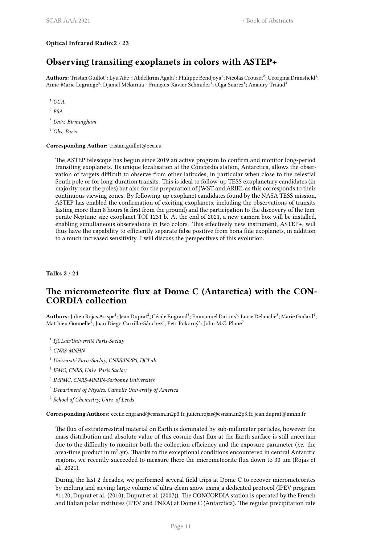#### **Optical Infrared Radio:2** / **23**

# **Observing transiting exoplanets in colors with ASTEP+**

Authors: Tristan Guillot<sup>1</sup>; Lyu Abe<sup>1</sup>; Abdelkrim Agabi<sup>1</sup>; Philippe Bendjoya<sup>1</sup>; Nicolas Crouzet<sup>2</sup>; Georgina Dransfield<sup>3</sup>; Anne-Marie Lagrange<sup>4</sup>; Djamel Mékarnia<sup>1</sup>; François-Xavier Schmider<sup>1</sup>; Olga Suarez<sup>1</sup>; Amaury Triaud<sup>3</sup>

<sup>1</sup> *OCA*

2 *ESA*

<sup>3</sup> *Univ. Birmingham*

<sup>4</sup> *Obs. Paris*

**Corresponding Author:** tristan.guillot@oca.eu

The ASTEP telescope has begun since 2019 an active program to confirm and monitor long-period transiting exoplanets. Its unique localisation at the Concordia station, Antarctica, allows the observation of targets difficult to observe from other latitudes, in particular when close to the celestial South pole or for long-duration transits. This is ideal to follow-up TESS exoplanetary candidates (in majority near the poles) but also for the preparation of JWST and ARIEL as this corresponds to their continuous viewing zones. By following-up exoplanet candidates found by the NASA TESS mission, ASTEP has enabled the confirmation of exciting exoplanets, including the observations of transits lasting more than 8 hours (a first from the ground) and the participation to the discovery of the temperate Neptune-size exoplanet TOI-1231 b. At the end of 2021, a new camera box will be installed, enabling simultaneous observations in two colors. This effectively new instrument, ASTEP+, will thus have the capability to efficiently separate false positive from bona fide exoplanets, in addition to a much increased sensitivity. I will discuss the perspectives of this evolution.

<span id="page-14-0"></span>**Talks 2** / **24**

# **The micrometeorite flux at Dome C (Antarctica) with the CON-CORDIA collection**

Authors: Julien Rojas Arispe<sup>1</sup>; Jean Duprat<sup>2</sup>; Cécile Engrand<sup>3</sup>; Emmanuel Dartois<sup>4</sup>; Lucie Delauche<sup>3</sup>; Marie Godard<sup>4</sup>; Matthieu Gounelle $^5$ ; Juan Diego Carrillo-Sánchez $^6$ ; Petr Pokorný $^6$ ; John M.C. Plane $^7$ 

1 *IJCLab/Université Paris-Saclay*

<sup>2</sup> *CNRS-MNHN*

<sup>3</sup> *Université Paris-Saclay, CNRS/IN2P3, IJCLab*

4 *ISMO, CNRS, Univ. Paris Saclay*

5 *IMPMC, CNRS-MNHN-Sorbonne Universités*

<sup>6</sup> *Department of Physics, Catholic University of America*

7 *School of Chemistry, Univ. of Leeds*

**Corresponding Authors:** cecile.engrand@csnsm.in2p3.fr, julien.rojas@csnsm.in2p3.fr, jean.duprat@mnhn.fr

The flux of extraterrestrial material on Earth is dominated by sub-millimeter particles, however the mass distribution and absolute value of this cosmic dust flux at the Earth surface is still uncertain due to the difficulty to monitor both the collection efficiency and the exposure parameter (*i.e.* the area-time product in  $m^2$ .yr). Thanks to the exceptional conditions encountered in central Antarctic regions, we recently succeeded to measure there the micrometeorite flux down to 30 µm (Rojas et al., 2021).

During the last 2 decades, we performed several field trips at Dome C to recover micrometeorites by melting and sieving large volume of ultra-clean snow using a dedicated protocol (IPEV program #1120, Duprat et al. (2010); Duprat et al. (2007)). The CONCORDIA station is operated by the French and Italian polar institutes (IPEV and PNRA) at Dome C (Antarctica). The regular precipitation rate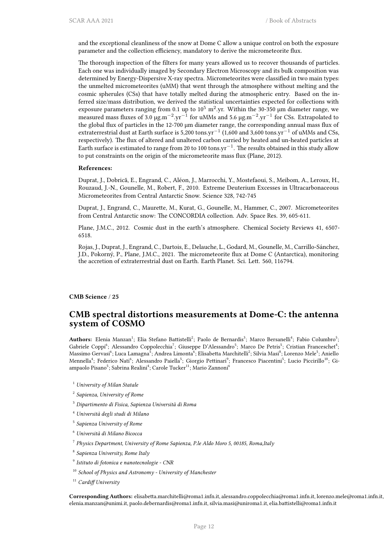and the exceptional cleanliness of the snow at Dome C allow a unique control on both the exposure parameter and the collection efficiency, mandatory to derive the micrometeorite flux.

The thorough inspection of the filters for many years allowed us to recover thousands of particles. Each one was individually imaged by Secondary Electron Microscopy and its bulk composition was determined by Energy-Dispersive X-ray spectra. Micrometeorites were classified in two main types: the unmelted micrometeorites (uMM) that went through the atmosphere without melting and the cosmic spherules (CSs) that have totally melted during the atmospheric entry. Based on the inferred size/mass distribution, we derived the statistical uncertainties expected for collections with exposure parameters ranging from 0.1 up to  $10^5$  m<sup>2</sup>.yr. Within the 30-350 µm diameter range, we measured mass fluxes of 3.0 µg.m*−*<sup>2</sup> .yr*−*<sup>1</sup> for uMMs and 5.6 µg.m*−*<sup>2</sup> .yr*−*<sup>1</sup> for CSs. Extrapolated to the global flux of particles in the 12-700 µm diameter range, the corresponding annual mass flux of extraterrestrial dust at Earth surface is 5,200 tons.yr*−*<sup>1</sup> (1,600 and 3,600 tons.yr*−*<sup>1</sup> of uMMs and CSs, respectively). The flux of altered and unaltered carbon carried by heated and un-heated particles at Earth surface is estimated to range from 20 to 100 tons.yr*−*<sup>1</sup> . The results obtained in this study allow to put constraints on the origin of the micrometeorite mass flux (Plane, 2012).

#### **References:**

Duprat, J., Dobrică, E., Engrand, C., Aléon, J., Marrocchi, Y., Mostefaoui, S., Meibom, A., Leroux, H., Rouzaud, J.-N., Gounelle, M., Robert, F., 2010. Extreme Deuterium Excesses in Ultracarbonaceous Micrometeorites from Central Antarctic Snow. Science 328, 742-745

Duprat, J., Engrand, C., Maurette, M., Kurat, G., Gounelle, M., Hammer, C., 2007. Micrometeorites from Central Antarctic snow: The CONCORDIA collection. Adv. Space Res. 39, 605-611.

Plane, J.M.C., 2012. Cosmic dust in the earth's atmosphere. Chemical Society Reviews 41, 6507- 6518.

Rojas, J., Duprat, J., Engrand, C., Dartois, E., Delauche, L., Godard, M., Gounelle, M., Carrillo-Sánchez, J.D., Pokorný, P., Plane, J.M.C., 2021. The micrometeorite flux at Dome C (Antarctica), monitoring the accretion of extraterrestrial dust on Earth. Earth Planet. Sci. Lett. 560, 116794.

<span id="page-15-0"></span>**CMB Science** / **25**

#### **CMB spectral distortions measurements at Dome-C: the antenna system of COSMO**

Authors: Elenia Manzan<sup>1</sup>; Elia Stefano Battistelli<sup>2</sup>; Paolo de Bernardis<sup>3</sup>; Marco Bersanelli<sup>4</sup>; Fabio Columbro<sup>5</sup>; Gabriele Coppi<sup>6</sup>; Alessandro Coppolecchia<sup>7</sup>; Giuseppe D'Alessandro<sup>5</sup>; Marco De Petris<sup>5</sup>; Cristian Franceschet<sup>4</sup>; Massimo Gervasi<sup>6</sup>; Luca Lamagna<sup>5</sup>; Andrea Limonta<sup>6</sup>; Elisabetta Marchitelli<sup>2</sup>; Silvia Masi<sup>8</sup>; Lorenzo Mele<sup>5</sup>; Aniello Mennella<sup>4</sup>; Federico Nati<sup>6</sup>; Alessandro Paiella<sup>5</sup>; Giorgio Pettinari<sup>9</sup>; Francesco Piacentini<sup>5</sup>; Lucio Piccirillo<sup>10</sup>; Giampaolo Pisano<sup>5</sup>; Sabrina Realini<sup>4</sup>; Carole Tucker<sup>11</sup>; Mario Zannoni<sup>6</sup>

- <sup>1</sup> *University of Milan Statale*
- 2 *Sapienza, University of Rome*
- <sup>3</sup> *Dipartimento di Fisica, Sapienza Università di Roma*
- <sup>4</sup> *Università degli studi di Milano*
- 5 *Sapienza University of Rome*
- <sup>6</sup> *Università di Milano Bicocca*
- 7 *Physics Department, University of Rome Sapienza, P.le Aldo Moro 5, 00185, Roma,Italy*
- 8 *Sapienza University, Rome Italy*
- 9 *Istituto di fotonica e nanotecnologie CNR*
- <sup>10</sup> *School of Physics and Astronomy University of Manchester*
- <sup>11</sup> *Cardiff University*

**Corresponding Authors:** elisabetta.marchitelli@roma1.infn.it, alessandro.coppolecchia@roma1.infn.it, lorenzo.mele@roma1.infn.it, elenia.manzan@unimi.it, paolo.debernardis@roma1.infn.it, silvia.masi@uniroma1.it, elia.battistelli@roma1.infn.it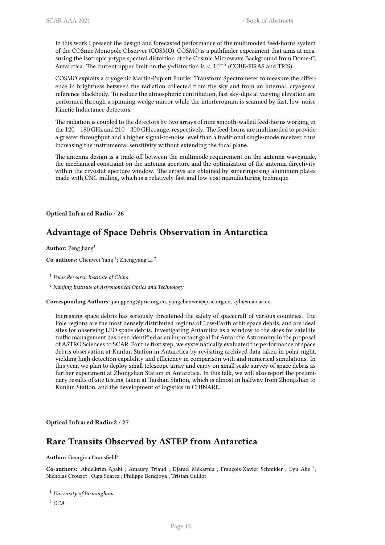In this work I present the design and forecasted performance of the multimoded feed-horns system of the COSmic Monopole Observer (COSMO). COSMO is a pathfinder experiment that aims at measuring the isotropic y-type spectral distortion of the Cosmic Microwave Background from Dome-C, Antarctica. The current upper limit on the y-distortion is *<* 10*−*<sup>5</sup> (COBE-FIRAS and TRIS).

COSMO exploits a cryogenic Martin-Puplett Fourier Transform Spectrometer to measure the difference in brightness between the radiation collected from the sky and from an internal, cryogenic reference blackbody. To reduce the atmospheric contribution, fast sky-dips at varying elevation are performed through a spinning wedge mirror while the interferogram is scanned by fast, low-noise Kinetic Inductance detectors.

The radiation is coupled to the detectors by two arrays of nine smooth-walled feed-horns working in the 120*−*180 GHz and 210*−*300 GHz range, respectively. The feed-horns are multimoded to provide a greater throughput and a higher signal-to-noise level than a traditional single-mode receiver, thus increasing the instrumental sensitivity without extending the focal plane.

The antenna design is a trade-off between the multimode requirement on the antenna waveguide, the mechanical constraint on the antenna aperture and the optimization of the antenna directivity within the cryostat aperture window. The arrays are obtained by superimposing aluminum plates made with CNC milling, which is a relatively fast and low-cost manufacturing technique.

#### <span id="page-16-0"></span>**Optical Infrared Radio** / **26**

# **Advantage of Space Debris Observation in Antarctica**

Author: Peng Jiang<sup>1</sup>

**Co-authors:** Chenwei Yang<sup>1</sup>; Zhengyang Li<sup>2</sup>

1 *Polar Research Institute of China*

<sup>2</sup> *Nanjing Institute of Astronomical Optics and Technology*

**Corresponding Authors:** jiangpeng@pric.org.cn, yangchenwei@pric.org.cn, zyli@niao.ac.cn

Increasing space debris has seriously threatened the safety of spacecraft of various countries. The Pole regions are the most densely distributed regions of Low-Earth orbit space debris, and are ideal sites for observing LEO space debris. Investigating Antarctica as a window to the skies for satellite traffic management has been identified as an important goal for Antarctic Astronomy in the proposal of ASTRO Sciences to SCAR. For the first step, we systematically evaluated the performance of space debris observation at Kunlun Station in Antarctica by revisiting archived data taken in polar night, yielding high detection capability and efficiency in comparison with and numerical simulations. In this year, we plan to deploy small telescope array and carry on small scale survey of space debris as further experiment at Zhongshan Station in Antarctica. In this talk, we will also report the preliminary results of site testing taken at Taishan Station, which is almost in halfway from Zhongshan to Kunlun Station, and the development of logistics in CHINARE.

<span id="page-16-1"></span>**Optical Infrared Radio:2** / **27**

#### **Rare Transits Observed by ASTEP from Antarctica**

#### **Author:** Georgina Dransfield<sup>1</sup>

Co-authors: Abdelkrim Agabi ; Amaury Triaud ; Djamel Mékarnia ; François-Xavier Schmider ; Lyu Abe<sup>2</sup>; Nicholas Crouzet ; Olga Suarez ; Philippe Bendjoya ; Tristan Guillot

<sup>1</sup> *University of Birmingham*

<sup>2</sup> *OCA*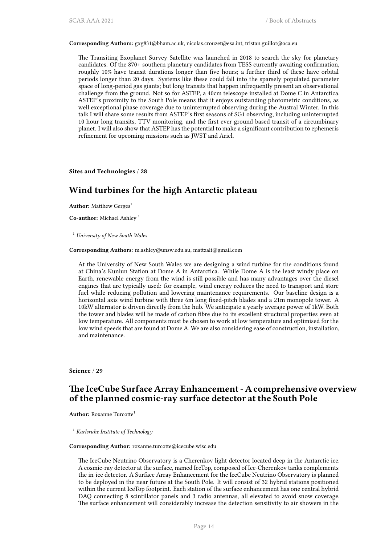**Corresponding Authors:** gxg831@bham.ac.uk, nicolas.crouzet@esa.int, tristan.guillot@oca.eu

The Transiting Exoplanet Survey Satellite was launched in 2018 to search the sky for planetary candidates. Of the 870+ southern planetary candidates from TESS currently awaiting confirmation, roughly 10% have transit durations longer than five hours; a further third of these have orbital periods longer than 20 days. Systems like these could fall into the sparsely populated parameter space of long-period gas giants; but long transits that happen infrequently present an observational challenge from the ground. Not so for ASTEP, a 40cm telescope installed at Dome C in Antarctica. ASTEP's proximity to the South Pole means that it enjoys outstanding photometric conditions, as well exceptional phase coverage due to uninterrupted observing during the Austral Winter. In this talk I will share some results from ASTEP's first seasons of SG1 observing, including uninterrupted 10 hour-long transits, TTV monitoring, and the first ever ground-based transit of a circumbinary planet. I will also show that ASTEP has the potential to make a significant contribution to ephemeris refinement for upcoming missions such as JWST and Ariel.

<span id="page-17-0"></span>**Sites and Technologies** / **28**

# **Wind turbines for the high Antarctic plateau**

**Author:** Matthew Gerges<sup>1</sup>

**Co-author:** Michael Ashley <sup>1</sup>

<sup>1</sup> *University of New South Wales*

#### **Corresponding Authors:** m.ashley@unsw.edu.au, mattzalt@gmail.com

At the University of New South Wales we are designing a wind turbine for the conditions found at China's Kunlun Station at Dome A in Antarctica. While Dome A is the least windy place on Earth, renewable energy from the wind is still possible and has many advantages over the diesel engines that are typically used: for example, wind energy reduces the need to transport and store fuel while reducing pollution and lowering maintenance requirements. Our baseline design is a horizontal axis wind turbine with three 6m long fixed-pitch blades and a 21m monopole tower. A 10kW alternator is driven directly from the hub. We anticipate a yearly average power of 1kW. Both the tower and blades will be made of carbon fibre due to its excellent structural properties even at low temperature. All components must be chosen to work at low temperature and optimised for the low wind speeds that are found at Dome A. We are also considering ease of construction, installation, and maintenance.

<span id="page-17-1"></span>**Science** / **29**

## **The IceCube Surface Array Enhancement - A comprehensive overview of the planned cosmic-ray surface detector at the South Pole**

**Author:** Roxanne Turcotte<sup>1</sup>

<sup>1</sup> *Karlsruhe Institute of Technology*

#### **Corresponding Author:** roxanne.turcotte@icecube.wisc.edu

The IceCube Neutrino Observatory is a Cherenkov light detector located deep in the Antarctic ice. A cosmic-ray detector at the surface, named IceTop, composed of Ice-Cherenkov tanks complements the in-ice detector. A Surface Array Enhancement for the IceCube Neutrino Observatory is planned to be deployed in the near future at the South Pole. It will consist of 32 hybrid stations positioned within the current IceTop footprint. Each station of the surface enhancement has one central hybrid DAQ connecting 8 scintillator panels and 3 radio antennas, all elevated to avoid snow coverage. The surface enhancement will considerably increase the detection sensitivity to air showers in the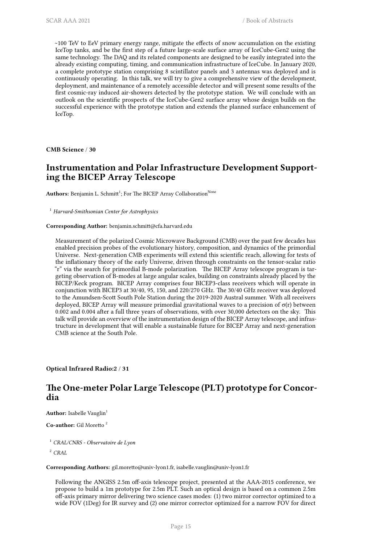~100 TeV to EeV primary energy range, mitigate the effects of snow accumulation on the existing IceTop tanks, and be the first step of a future large-scale surface array of IceCube-Gen2 using the same technology. The DAQ and its related components are designed to be easily integrated into the already existing computing, timing, and communication infrastructure of IceCube. In January 2020, a complete prototype station comprising 8 scintillator panels and 3 antennas was deployed and is continuously operating. In this talk, we will try to give a comprehensive view of the development, deployment, and maintenance of a remotely accessible detector and will present some results of the first cosmic-ray induced air-showers detected by the prototype station. We will conclude with an outlook on the scientific prospects of the IceCube-Gen2 surface array whose design builds on the successful experience with the prototype station and extends the planned surface enhancement of IceTop.

<span id="page-18-0"></span>**CMB Science** / **30**

# **Instrumentation and Polar Infrastructure Development Supporting the BICEP Array Telescope**

Authors: Benjamin L. Schmitt<sup>1</sup>; For The BICEP Array Collaboration<sup>None</sup>

<sup>1</sup> *Harvard-Smithsonian Center for Astrophysics*

**Corresponding Author:** benjamin.schmitt@cfa.harvard.edu

Measurement of the polarized Cosmic Microwave Background (CMB) over the past few decades has enabled precision probes of the evolutionary history, composition, and dynamics of the primordial Universe. Next-generation CMB experiments will extend this scientific reach, allowing for tests of the inflationary theory of the early Universe, driven through constraints on the tensor-scalar ratio "r" via the search for primordial B-mode polarization. The BICEP Array telescope program is targeting observation of B-modes at large angular scales, building on constraints already placed by the BICEP/Keck program. BICEP Array comprises four BICEP3-class receivers which will operate in conjunction with BICEP3 at 30/40, 95, 150, and 220/270 GHz. The 30/40 GHz receiver was deployed to the Amundsen-Scott South Pole Station during the 2019-2020 Austral summer. With all receivers deployed, BICEP Array will measure primordial gravitational waves to a precision of  $\sigma(r)$  between 0.002 and 0.004 after a full three years of observations, with over 30,000 detectors on the sky. This talk will provide an overview of the instrumentation design of the BICEP Array telescope, and infrastructure in development that will enable a sustainable future for BICEP Array and next-generation CMB science at the South Pole.

<span id="page-18-1"></span>**Optical Infrared Radio:2** / **31**

# **The One-meter Polar Large Telescope (PLT) prototype for Concordia**

**Author:** Isabelle Vauglin<sup>1</sup>

**Co-author:** Gil Moretto <sup>2</sup>

<sup>1</sup> *CRAL/CNRS - Observatoire de Lyon*

<sup>2</sup> *CRAL*

**Corresponding Authors:** gil.moretto@univ-lyon1.fr, isabelle.vauglin@univ-lyon1.fr

Following the ANGISS 2.5m off-axis telescope project, presented at the AAA-2015 conference, we propose to build a 1m prototype for 2.5m PLT. Such an optical design is based on a common 2.5m off-axis primary mirror delivering two science cases modes: (1) two mirror corrector optimized to a wide FOV (1Deg) for IR survey and (2) one mirror corrector optimized for a narrow FOV for direct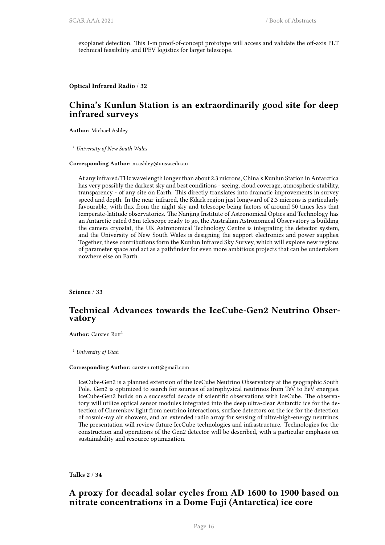exoplanet detection. This 1-m proof-of-concept prototype will access and validate the off-axis PLT technical feasibility and IPEV logistics for larger telescope.

<span id="page-19-0"></span>**Optical Infrared Radio** / **32**

# **China's Kunlun Station is an extraordinarily good site for deep infrared surveys**

Author: Michael Ashley<sup>1</sup>

<sup>1</sup> *University of New South Wales*

**Corresponding Author:** m.ashley@unsw.edu.au

At any infrared/THz wavelength longer than about 2.3 microns, China's Kunlun Station in Antarctica has very possibly the darkest sky and best conditions - seeing, cloud coverage, atmospheric stability, transparency - of any site on Earth. This directly translates into dramatic improvements in survey speed and depth. In the near-infrared, the Kdark region just longward of 2.3 microns is particularly favourable, with flux from the night sky and telescope being factors of around 50 times less that temperate-latitude observatories. The Nanjing Institute of Astronomical Optics and Technology has an Antarctic-rated 0.5m telescope ready to go, the Australian Astronomical Observatory is building the camera cryostat, the UK Astronomical Technology Centre is integrating the detector system, and the University of New South Wales is designing the support electronics and power supplies. Together, these contributions form the Kunlun Infrared Sky Survey, which will explore new regions of parameter space and act as a pathfinder for even more ambitious projects that can be undertaken nowhere else on Earth.

**Science** / **33**

#### **Technical Advances towards the IceCube-Gen2 Neutrino Observatory**

**Author:** Carsten Rott<sup>1</sup>

<sup>1</sup> *University of Utah*

#### **Corresponding Author:** carsten.rott@gmail.com

IceCube-Gen2 is a planned extension of the IceCube Neutrino Observatory at the geographic South Pole. Gen2 is optimized to search for sources of astrophysical neutrinos from TeV to EeV energies. IceCube-Gen2 builds on a successful decade of scientific observations with IceCube. The observatory will utilize optical sensor modules integrated into the deep ultra-clear Antarctic ice for the detection of Cherenkov light from neutrino interactions, surface detectors on the ice for the detection of cosmic-ray air showers, and an extended radio array for sensing of ultra-high-energy neutrinos. The presentation will review future IceCube technologies and infrastructure. Technologies for the construction and operations of the Gen2 detector will be described, with a particular emphasis on sustainability and resource optimization.

<span id="page-19-1"></span>**Talks 2** / **34**

# **A proxy for decadal solar cycles from AD 1600 to 1900 based on nitrate concentrations in a Dome Fuji (Antarctica) ice core**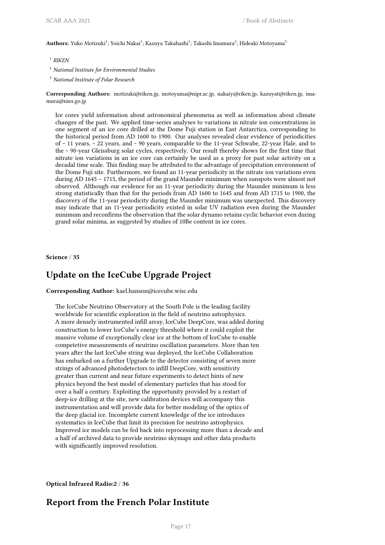$\mathbf{Authors}\colon \mathbf{Yuko}\ \mathsf{Motizuki}^1; \mathsf{Yoichi}\ \mathsf{Nakai}^1; \mathsf{Kazuya}\ \mathsf{Takahashi}^1; \mathsf{Takashi}\ \mathsf{Imamura}^2; \mathsf{Hideaki}\ \mathsf{Motoyama}^3$ 

- 1 *RIKEN*
- <sup>2</sup> *National Institute for Environmental Studies*
- <sup>3</sup> *National Institute of Polar Research*

**Corresponding Authors:** motizuki@riken.jp, motoyama@nipr.ac.jp, nakaiy@riken.jp, kazuyat@riken.jp, imamura@nies.go.jp

Ice cores yield information about astronomical phenomena as well as information about climate changes of the past. We applied time-series analyses to variations in nitrate ion concentrations in one segment of an ice core drilled at the Dome Fuji station in East Antarctica, corresponding to the historical period from AD 1600 to 1900. Our analyses revealed clear evidence of periodicities of  $\sim$  11 years,  $\sim$  22 years, and  $\sim$  90 years, comparable to the 11-year Schwabe, 22-year Hale, and to the ~ 90-year Gleissburg solar cycles, respectively. Our result thereby shows for the first time that nitrate ion variations in an ice core can certainly be used as a proxy for past solar activity on a decadal time scale. This finding may be attributed to the advantage of precipitation environment of the Dome Fuji site. Furthermore, we found an 11-year periodicity in the nitrate ion variations even during AD 1645 – 1715, the period of the grand Maunder minimum when sunspots were almost not observed. Although our evidence for an 11-year periodicity during the Maunder minimum is less strong statistically than that for the periods from AD 1600 to 1645 and from AD 1715 to 1900, the discovery of the 11-year periodicity during the Maunder minimum was unexpected. This discovery may indicate that an 11-year periodicity existed in solar UV radiation even during the Maunder minimum and reconfirms the observation that the solar dynamo retains cyclic behavior even during grand solar minima, as suggested by studies of 10Be content in ice cores.

**Science** / **35**

# **Update on the IceCube Upgrade Project**

**Corresponding Author:** kael.hanson@icecube.wisc.edu

The IceCube Neutrino Observatory at the South Pole is the leading facility worldwide for scientific exploration in the field of neutrino astrophysics. A more densely instrumented infill array, IceCube DeepCore, was added during construction to lower IceCube's energy threshold where it could exploit the massive volume of exceptionally clear ice at the bottom of IceCube to enable competetive measurements of neutrino oscillation parameters. More than ten years after the last IceCube string was deployed, the IceCube Collaboration has embarked on a further Upgrade to the detector consisting of seven more strings of advanced photodetectors to infill DeepCore, with sensitivity greater than current and near future experiments to detect hints of new physics beyond the best model of elementary particles that has stood for over a half a century. Exploiting the opportunity provided by a restart of deep-ice drilling at the site, new calibration devices will accompany this instrumentation and will provide data for better modeling of the optics of the deep glacial ice. Incomplete current knowledge of the ice introduces systematics in IceCube that limit its precision for neutrino astrophysics. Improved ice models can be fed back into reprocessing more than a decade and a half of archived data to provide neutrino skymaps and other data products with significantly improved resolution.

**Optical Infrared Radio:2** / **36**

## **Report from the French Polar Institute**